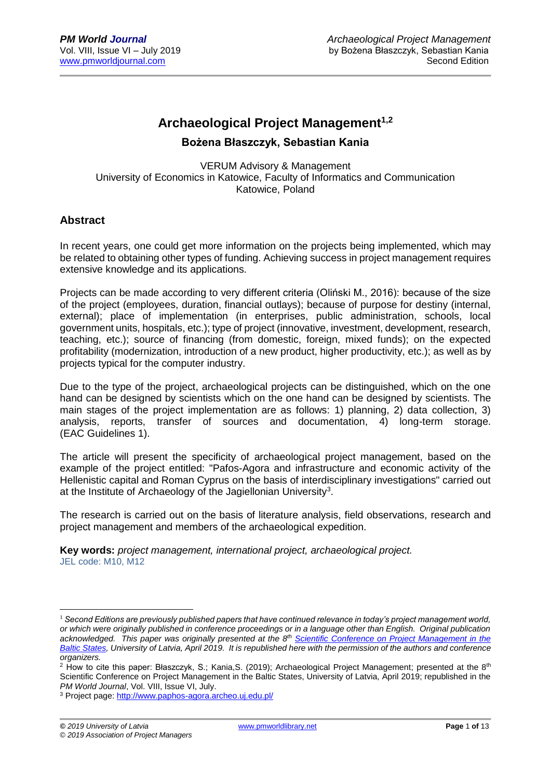# **Archaeological Project Management1,2**

### **Bożena Błaszczyk, Sebastian Kania**

VERUM Advisory & Management University of Economics in Katowice, Faculty of Informatics and Communication Katowice, Poland

### **Abstract**

In recent years, one could get more information on the projects being implemented, which may be related to obtaining other types of funding. Achieving success in project management requires extensive knowledge and its applications.

Projects can be made according to very different criteria (Oliński M., 2016): because of the size of the project (employees, duration, financial outlays); because of purpose for destiny (internal, external); place of implementation (in enterprises, public administration, schools, local government units, hospitals, etc.); type of project (innovative, investment, development, research, teaching, etc.); source of financing (from domestic, foreign, mixed funds); on the expected profitability (modernization, introduction of a new product, higher productivity, etc.); as well as by projects typical for the computer industry.

Due to the type of the project, archaeological projects can be distinguished, which on the one hand can be designed by scientists which on the one hand can be designed by scientists. The main stages of the project implementation are as follows: 1) planning, 2) data collection, 3) analysis, reports, transfer of sources and documentation, 4) long-term storage. (EAC Guidelines 1).

The article will present the specificity of archaeological project management, based on the example of the project entitled: "Pafos-Agora and infrastructure and economic activity of the Hellenistic capital and Roman Cyprus on the basis of interdisciplinary investigations" carried out at the Institute of Archaeology of the Jagiellonian University<sup>3</sup>.

The research is carried out on the basis of literature analysis, field observations, research and project management and members of the archaeological expedition.

**Key words:** *project management, international project, archaeological project.* JEL code: M10, M12

1

<sup>&</sup>lt;sup>1</sup> Second Editions are previously published papers that have continued relevance in today's project management world, *or which were originally published in conference proceedings or in a language other than English. Original publication*  acknowledged. This paper was originally presented at the 8<sup>th</sup> Scientific Conference on Project Management in the *[Baltic States,](https://www.balticpmconference.eu/) University of Latvia, April 2019. It is republished here with the permission of the authors and conference organizers.*

<sup>&</sup>lt;sup>2</sup> How to cite this paper: Błaszczyk, S.; Kania, S. (2019); Archaeological Project Management; presented at the 8<sup>th</sup> Scientific Conference on Project Management in the Baltic States, University of Latvia, April 2019; republished in the *PM World Journal*, Vol. VIII, Issue VI, July.

<sup>&</sup>lt;sup>3</sup> Project page:<http://www.paphos-agora.archeo.uj.edu.pl/>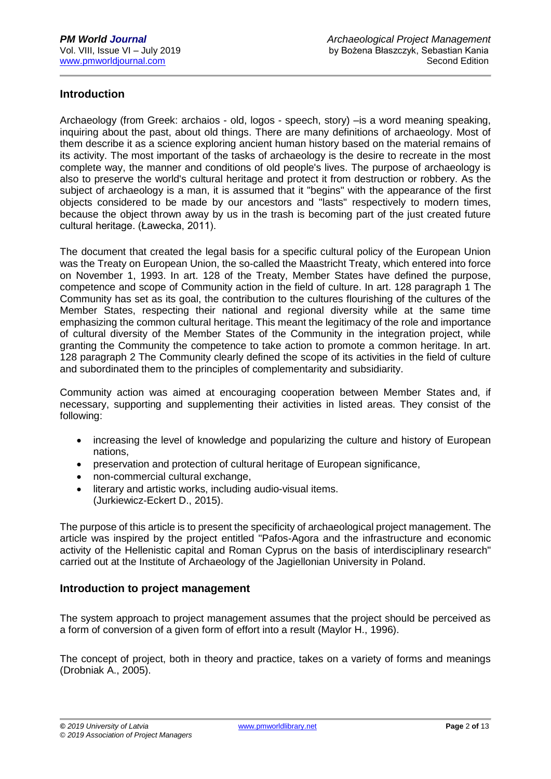## **Introduction**

Archaeology (from Greek: archaios - old, logos - speech, story) –is a word meaning speaking, inquiring about the past, about old things. There are many definitions of archaeology. Most of them describe it as a science exploring ancient human history based on the material remains of its activity. The most important of the tasks of archaeology is the desire to recreate in the most complete way, the manner and conditions of old people's lives. The purpose of archaeology is also to preserve the world's cultural heritage and protect it from destruction or robbery. As the subject of archaeology is a man, it is assumed that it "begins" with the appearance of the first objects considered to be made by our ancestors and "lasts" respectively to modern times, because the object thrown away by us in the trash is becoming part of the just created future cultural heritage. (Ławecka, 2011).

The document that created the legal basis for a specific cultural policy of the European Union was the Treaty on European Union, the so-called the Maastricht Treaty, which entered into force on November 1, 1993. In art. 128 of the Treaty, Member States have defined the purpose, competence and scope of Community action in the field of culture. In art. 128 paragraph 1 The Community has set as its goal, the contribution to the cultures flourishing of the cultures of the Member States, respecting their national and regional diversity while at the same time emphasizing the common cultural heritage. This meant the legitimacy of the role and importance of cultural diversity of the Member States of the Community in the integration project, while granting the Community the competence to take action to promote a common heritage. In art. 128 paragraph 2 The Community clearly defined the scope of its activities in the field of culture and subordinated them to the principles of complementarity and subsidiarity.

Community action was aimed at encouraging cooperation between Member States and, if necessary, supporting and supplementing their activities in listed areas. They consist of the following:

- increasing the level of knowledge and popularizing the culture and history of European nations,
- preservation and protection of cultural heritage of European significance,
- non-commercial cultural exchange,
- literary and artistic works, including audio-visual items. (Jurkiewicz-Eckert D., 2015).

The purpose of this article is to present the specificity of archaeological project management. The article was inspired by the project entitled "Pafos-Agora and the infrastructure and economic activity of the Hellenistic capital and Roman Cyprus on the basis of interdisciplinary research" carried out at the Institute of Archaeology of the Jagiellonian University in Poland.

## **Introduction to project management**

The system approach to project management assumes that the project should be perceived as a form of conversion of a given form of effort into a result (Maylor H., 1996).

The concept of project, both in theory and practice, takes on a variety of forms and meanings (Drobniak A., 2005).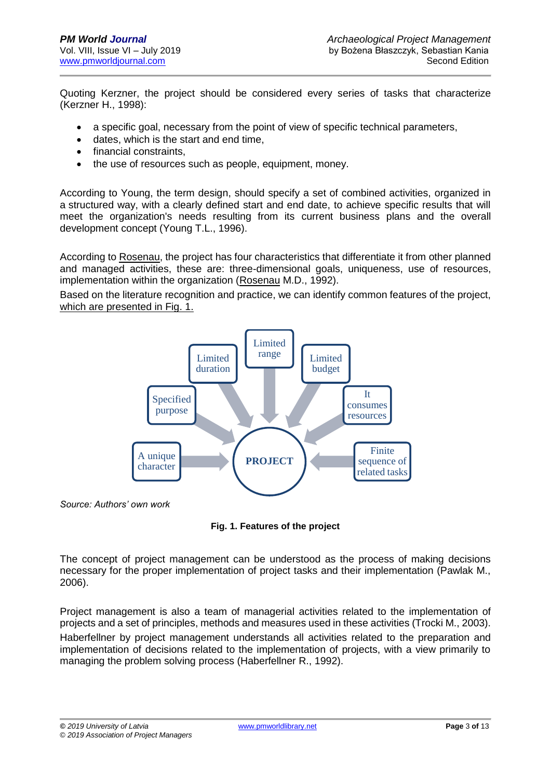Quoting Kerzner, the project should be considered every series of tasks that characterize (Kerzner H., 1998):

- a specific goal, necessary from the point of view of specific technical parameters,
- dates, which is the start and end time,
- financial constraints.
- the use of resources such as people, equipment, money.

According to Young, the term design, should specify a set of combined activities, organized in a structured way, with a clearly defined start and end date, to achieve specific results that will meet the organization's needs resulting from its current business plans and the overall development concept (Young T.L., 1996).

According to Rosenau, the project has four characteristics that differentiate it from other planned and managed activities, these are: three-dimensional goals, uniqueness, use of resources, implementation within the organization (Rosenau M.D., 1992).

Based on the literature recognition and practice, we can identify common features of the project, which are presented in Fig. 1.



*Source: Authors' own work*

**Fig. 1. Features of the project**

The concept of project management can be understood as the process of making decisions necessary for the proper implementation of project tasks and their implementation (Pawlak M., 2006).

Project management is also a team of managerial activities related to the implementation of projects and a set of principles, methods and measures used in these activities (Trocki M., 2003). Haberfellner by project management understands all activities related to the preparation and implementation of decisions related to the implementation of projects, with a view primarily to managing the problem solving process (Haberfellner R., 1992).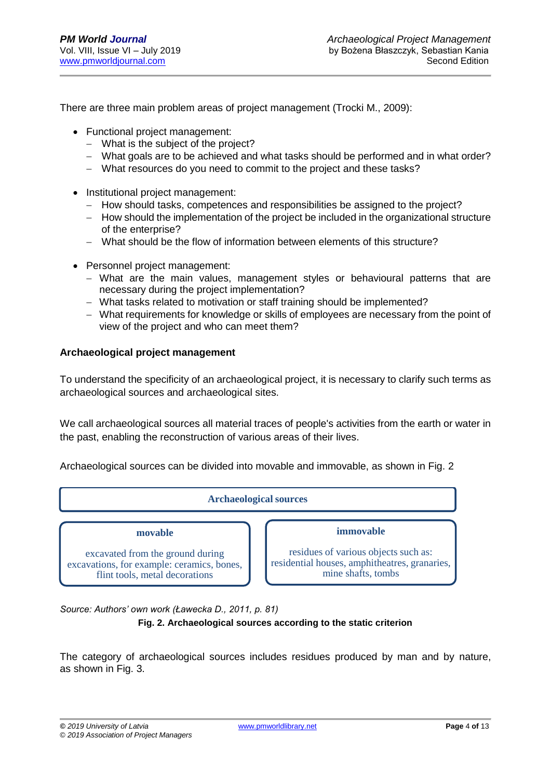There are three main problem areas of project management (Trocki M., 2009):

- Functional project management:
	- − What is the subject of the project?
	- − What goals are to be achieved and what tasks should be performed and in what order?
	- − What resources do you need to commit to the project and these tasks?
- Institutional project management:
	- − How should tasks, competences and responsibilities be assigned to the project?
	- − How should the implementation of the project be included in the organizational structure of the enterprise?
	- − What should be the flow of information between elements of this structure?
- Personnel project management:
	- − What are the main values, management styles or behavioural patterns that are necessary during the project implementation?
	- − What tasks related to motivation or staff training should be implemented?
	- − What requirements for knowledge or skills of employees are necessary from the point of view of the project and who can meet them?

### **Archaeological project management**

To understand the specificity of an archaeological project, it is necessary to clarify such terms as archaeological sources and archaeological sites.

We call archaeological sources all material traces of people's activities from the earth or water in the past, enabling the reconstruction of various areas of their lives.

Archaeological sources can be divided into movable and immovable, as shown in Fig. 2



*Source: Authors' own work (Ławecka D., 2011, p. 81)*

#### **Fig. 2. Archaeological sources according to the static criterion**

The category of archaeological sources includes residues produced by man and by nature, as shown in Fig. 3.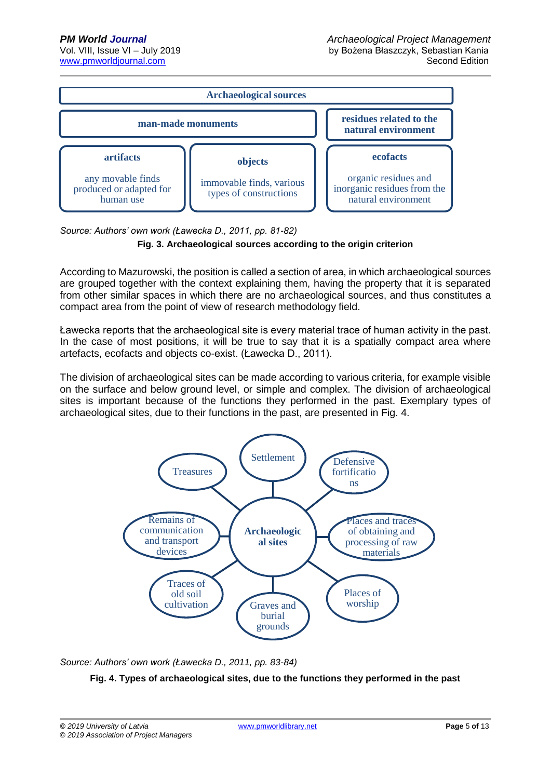

*Source: Authors' own work (Ławecka D., 2011, pp. 81-82)*



According to Mazurowski, the position is called a section of area, in which archaeological sources are grouped together with the context explaining them, having the property that it is separated from other similar spaces in which there are no archaeological sources, and thus constitutes a compact area from the point of view of research methodology field.

Ławecka reports that the archaeological site is every material trace of human activity in the past. In the case of most positions, it will be true to say that it is a spatially compact area where artefacts, ecofacts and objects co-exist. (Ławecka D., 2011).

The division of archaeological sites can be made according to various criteria, for example visible on the surface and below ground level, or simple and complex. The division of archaeological sites is important because of the functions they performed in the past. Exemplary types of archaeological sites, due to their functions in the past, are presented in Fig. 4.



*Source: Authors' own work (Ławecka D., 2011, pp. 83-84)*

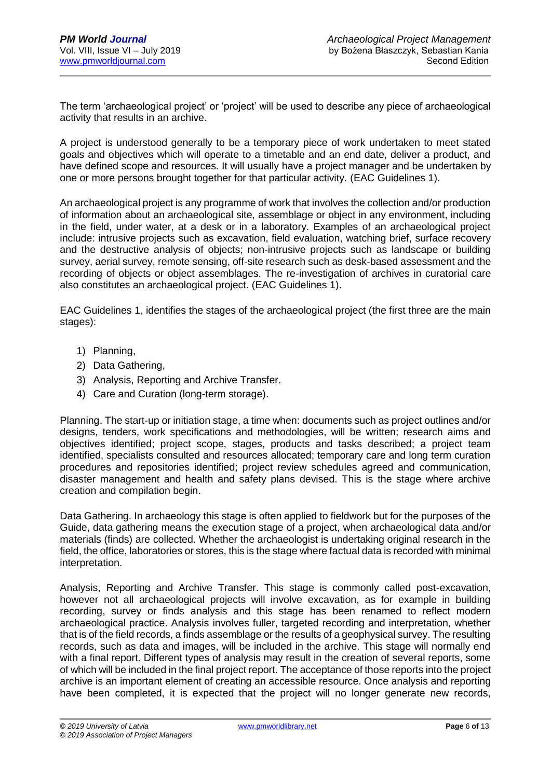The term 'archaeological project' or 'project' will be used to describe any piece of archaeological activity that results in an archive.

A project is understood generally to be a temporary piece of work undertaken to meet stated goals and objectives which will operate to a timetable and an end date, deliver a product, and have defined scope and resources. It will usually have a project manager and be undertaken by one or more persons brought together for that particular activity. (EAC Guidelines 1).

An archaeological project is any programme of work that involves the collection and/or production of information about an archaeological site, assemblage or object in any environment, including in the field, under water, at a desk or in a laboratory. Examples of an archaeological project include: intrusive projects such as excavation, field evaluation, watching brief, surface recovery and the destructive analysis of objects; non-intrusive projects such as landscape or building survey, aerial survey, remote sensing, off-site research such as desk-based assessment and the recording of objects or object assemblages. The re-investigation of archives in curatorial care also constitutes an archaeological project. (EAC Guidelines 1).

EAC Guidelines 1, identifies the stages of the archaeological project (the first three are the main stages):

- 1) Planning,
- 2) Data Gathering,
- 3) Analysis, Reporting and Archive Transfer.
- 4) Care and Curation (long-term storage).

Planning. The start-up or initiation stage, a time when: documents such as project outlines and/or designs, tenders, work specifications and methodologies, will be written; research aims and objectives identified; project scope, stages, products and tasks described; a project team identified, specialists consulted and resources allocated; temporary care and long term curation procedures and repositories identified; project review schedules agreed and communication, disaster management and health and safety plans devised. This is the stage where archive creation and compilation begin.

Data Gathering. In archaeology this stage is often applied to fieldwork but for the purposes of the Guide, data gathering means the execution stage of a project, when archaeological data and/or materials (finds) are collected. Whether the archaeologist is undertaking original research in the field, the office, laboratories or stores, this is the stage where factual data is recorded with minimal interpretation.

Analysis, Reporting and Archive Transfer. This stage is commonly called post-excavation, however not all archaeological projects will involve excavation, as for example in building recording, survey or finds analysis and this stage has been renamed to reflect modern archaeological practice. Analysis involves fuller, targeted recording and interpretation, whether that is of the field records, a finds assemblage or the results of a geophysical survey. The resulting records, such as data and images, will be included in the archive. This stage will normally end with a final report. Different types of analysis may result in the creation of several reports, some of which will be included in the final project report. The acceptance of those reports into the project archive is an important element of creating an accessible resource. Once analysis and reporting have been completed, it is expected that the project will no longer generate new records,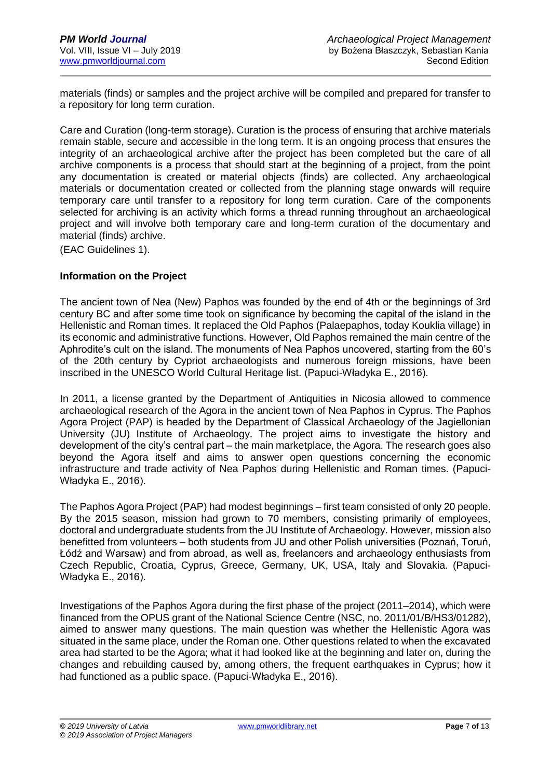materials (finds) or samples and the project archive will be compiled and prepared for transfer to a repository for long term curation.

Care and Curation (long-term storage). Curation is the process of ensuring that archive materials remain stable, secure and accessible in the long term. It is an ongoing process that ensures the integrity of an archaeological archive after the project has been completed but the care of all archive components is a process that should start at the beginning of a project, from the point any documentation is created or material objects (finds) are collected. Any archaeological materials or documentation created or collected from the planning stage onwards will require temporary care until transfer to a repository for long term curation. Care of the components selected for archiving is an activity which forms a thread running throughout an archaeological project and will involve both temporary care and long-term curation of the documentary and material (finds) archive.

(EAC Guidelines 1).

#### **Information on the Project**

The ancient town of Nea (New) Paphos was founded by the end of 4th or the beginnings of 3rd century BC and after some time took on significance by becoming the capital of the island in the Hellenistic and Roman times. It replaced the Old Paphos (Palaepaphos, today Kouklia village) in its economic and administrative functions. However, Old Paphos remained the main centre of the Aphrodite's cult on the island. The monuments of Nea Paphos uncovered, starting from the 60's of the 20th century by Cypriot archaeologists and numerous foreign missions, have been inscribed in the UNESCO World Cultural Heritage list. (Papuci-Władyka E., 2016).

In 2011, a license granted by the Department of Antiquities in Nicosia allowed to commence archaeological research of the Agora in the ancient town of Nea Paphos in Cyprus. The Paphos Agora Project (PAP) is headed by the Department of Classical Archaeology of the Jagiellonian University (JU) Institute of Archaeology. The project aims to investigate the history and development of the city's central part – the main marketplace, the Agora. The research goes also beyond the Agora itself and aims to answer open questions concerning the economic infrastructure and trade activity of Nea Paphos during Hellenistic and Roman times. (Papuci-Władyka E., 2016).

The Paphos Agora Project (PAP) had modest beginnings – first team consisted of only 20 people. By the 2015 season, mission had grown to 70 members, consisting primarily of employees, doctoral and undergraduate students from the JU Institute of Archaeology. However, mission also benefitted from volunteers – both students from JU and other Polish universities (Poznań, Toruń, Łódź and Warsaw) and from abroad, as well as, freelancers and archaeology enthusiasts from Czech Republic, Croatia, Cyprus, Greece, Germany, UK, USA, Italy and Slovakia. (Papuci-Władyka E., 2016).

Investigations of the Paphos Agora during the first phase of the project (2011–2014), which were financed from the OPUS grant of the National Science Centre (NSC, no. 2011/01/B/HS3/01282), aimed to answer many questions. The main question was whether the Hellenistic Agora was situated in the same place, under the Roman one. Other questions related to when the excavated area had started to be the Agora; what it had looked like at the beginning and later on, during the changes and rebuilding caused by, among others, the frequent earthquakes in Cyprus; how it had functioned as a public space. (Papuci-Władyka E., 2016).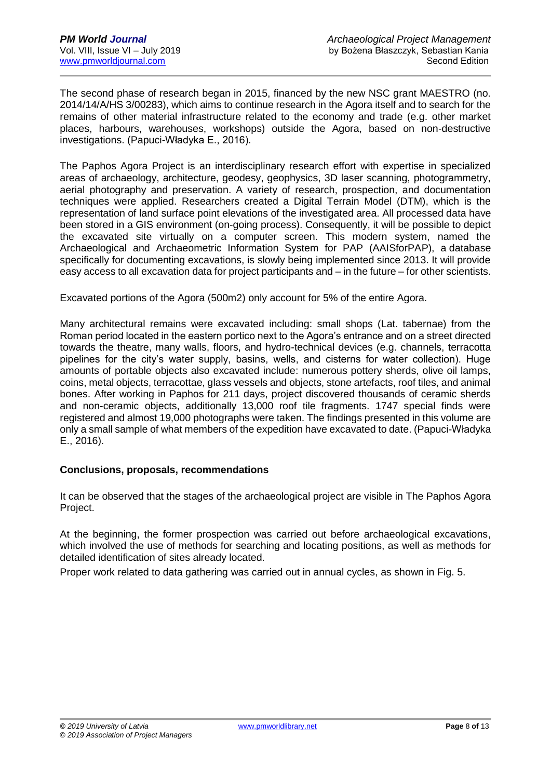The second phase of research began in 2015, financed by the new NSC grant MAESTRO (no. 2014/14/A/HS 3/00283), which aims to continue research in the Agora itself and to search for the remains of other material infrastructure related to the economy and trade (e.g. other market places, harbours, warehouses, workshops) outside the Agora, based on non-destructive investigations. (Papuci-Władyka E., 2016).

The Paphos Agora Project is an interdisciplinary research effort with expertise in specialized areas of archaeology, architecture, geodesy, geophysics, 3D laser scanning, photogrammetry, aerial photography and preservation. A variety of research, prospection, and documentation techniques were applied. Researchers created a Digital Terrain Model (DTM), which is the representation of land surface point elevations of the investigated area. All processed data have been stored in a GIS environment (on-going process). Consequently, it will be possible to depict the excavated site virtually on a computer screen. This modern system, named the Archaeological and Archaeometric Information System for PAP (AAISforPAP), a database specifically for documenting excavations, is slowly being implemented since 2013. It will provide easy access to all excavation data for project participants and – in the future – for other scientists.

Excavated portions of the Agora (500m2) only account for 5% of the entire Agora.

Many architectural remains were excavated including: small shops (Lat. tabernae) from the Roman period located in the eastern portico next to the Agora's entrance and on a street directed towards the theatre, many walls, floors, and hydro-technical devices (e.g. channels, terracotta pipelines for the city's water supply, basins, wells, and cisterns for water collection). Huge amounts of portable objects also excavated include: numerous pottery sherds, olive oil lamps, coins, metal objects, terracottae, glass vessels and objects, stone artefacts, roof tiles, and animal bones. After working in Paphos for 211 days, project discovered thousands of ceramic sherds and non-ceramic objects, additionally 13,000 roof tile fragments. 1747 special finds were registered and almost 19,000 photographs were taken. The findings presented in this volume are only a small sample of what members of the expedition have excavated to date. (Papuci-Władyka E., 2016).

#### **Conclusions, proposals, recommendations**

It can be observed that the stages of the archaeological project are visible in The Paphos Agora Project.

At the beginning, the former prospection was carried out before archaeological excavations, which involved the use of methods for searching and locating positions, as well as methods for detailed identification of sites already located.

Proper work related to data gathering was carried out in annual cycles, as shown in Fig. 5.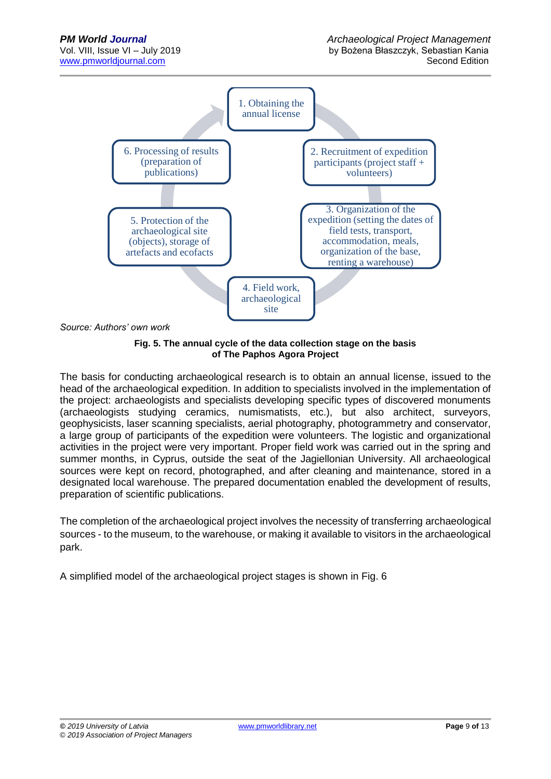

*Source: Authors' own work* 

**Fig. 5. The annual cycle of the data collection stage on the basis of The Paphos Agora Project**

The basis for conducting archaeological research is to obtain an annual license, issued to the head of the archaeological expedition. In addition to specialists involved in the implementation of the project: archaeologists and specialists developing specific types of discovered monuments (archaeologists studying ceramics, numismatists, etc.), but also architect, surveyors, geophysicists, laser scanning specialists, aerial photography, photogrammetry and conservator, a large group of participants of the expedition were volunteers. The logistic and organizational activities in the project were very important. Proper field work was carried out in the spring and summer months, in Cyprus, outside the seat of the Jagiellonian University. All archaeological sources were kept on record, photographed, and after cleaning and maintenance, stored in a designated local warehouse. The prepared documentation enabled the development of results, preparation of scientific publications.

The completion of the archaeological project involves the necessity of transferring archaeological sources - to the museum, to the warehouse, or making it available to visitors in the archaeological park.

A simplified model of the archaeological project stages is shown in Fig. 6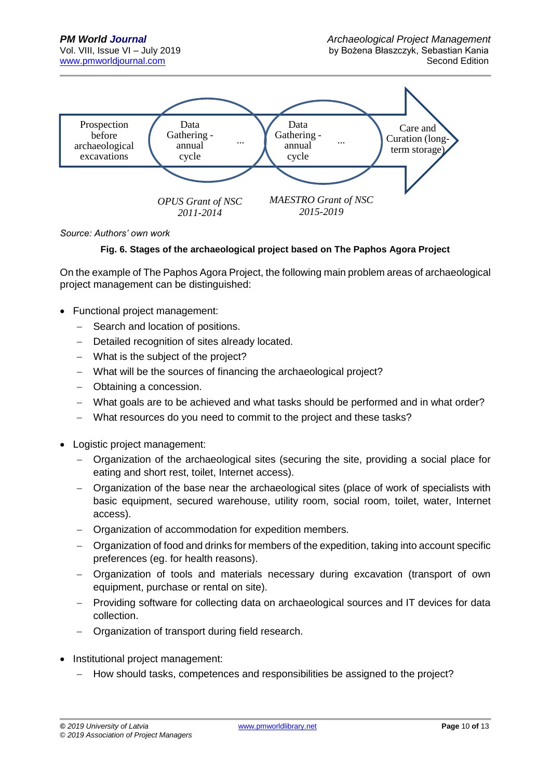

*Source: Authors' own work* 

#### **Fig. 6. Stages of the archaeological project based on The Paphos Agora Project**

On the example of The Paphos Agora Project, the following main problem areas of archaeological project management can be distinguished:

- Functional project management:
	- − Search and location of positions.
	- − Detailed recognition of sites already located.
	- − What is the subject of the project?
	- − What will be the sources of financing the archaeological project?
	- − Obtaining a concession.
	- − What goals are to be achieved and what tasks should be performed and in what order?
	- − What resources do you need to commit to the project and these tasks?
- Logistic project management:
	- − Organization of the archaeological sites (securing the site, providing a social place for eating and short rest, toilet, Internet access).
	- − Organization of the base near the archaeological sites (place of work of specialists with basic equipment, secured warehouse, utility room, social room, toilet, water, Internet access).
	- − Organization of accommodation for expedition members.
	- − Organization of food and drinks for members of the expedition, taking into account specific preferences (eg. for health reasons).
	- − Organization of tools and materials necessary during excavation (transport of own equipment, purchase or rental on site).
	- − Providing software for collecting data on archaeological sources and IT devices for data collection.
	- − Organization of transport during field research.
- Institutional project management:
	- − How should tasks, competences and responsibilities be assigned to the project?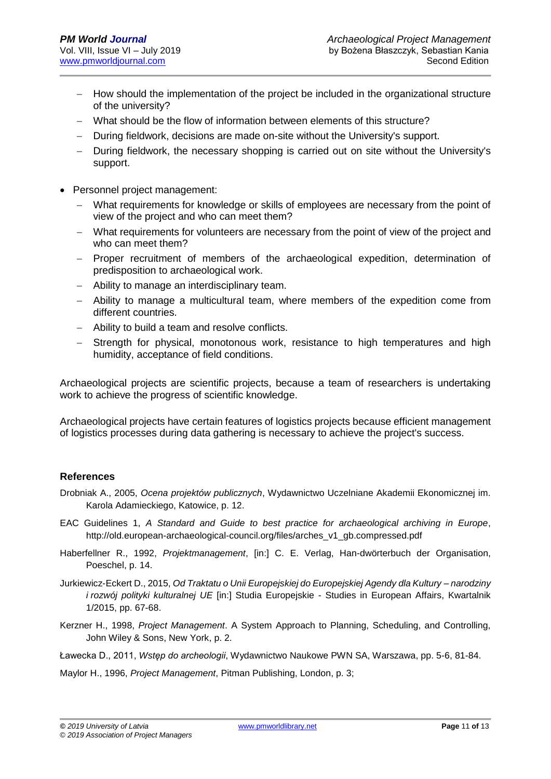- − How should the implementation of the project be included in the organizational structure of the university?
- − What should be the flow of information between elements of this structure?
- − During fieldwork, decisions are made on-site without the University's support.
- During fieldwork, the necessary shopping is carried out on site without the University's support.
- Personnel project management:
	- − What requirements for knowledge or skills of employees are necessary from the point of view of the project and who can meet them?
	- − What requirements for volunteers are necessary from the point of view of the project and who can meet them?
	- − Proper recruitment of members of the archaeological expedition, determination of predisposition to archaeological work.
	- − Ability to manage an interdisciplinary team.
	- Ability to manage a multicultural team, where members of the expedition come from different countries.
	- − Ability to build a team and resolve conflicts.
	- Strength for physical, monotonous work, resistance to high temperatures and high humidity, acceptance of field conditions.

Archaeological projects are scientific projects, because a team of researchers is undertaking work to achieve the progress of scientific knowledge.

Archaeological projects have certain features of logistics projects because efficient management of logistics processes during data gathering is necessary to achieve the project's success.

#### **References**

- Drobniak A., 2005, *Ocena projektów publicznych*, Wydawnictwo Uczelniane Akademii Ekonomicznej im. Karola Adamieckiego, Katowice, p. 12.
- EAC Guidelines 1, *A Standard and Guide to best practice for archaeological archiving in Europe*, [http://old.european-archaeological-council.org/files/arches\\_v1\\_gb.compressed.pdf](http://old.european-archaeological-council.org/files/arches_v1_gb.compressed.pdf)
- Haberfellner R., 1992, *Projektmanagement*, [in:] C. E. Verlag, Han-dwörterbuch der Organisation, Poeschel, p. 14.
- Jurkiewicz-Eckert D., 2015, *Od Traktatu o Unii Europejskiej do Europejskiej Agendy dla Kultury – narodziny i rozwój polityki kulturalnej UE* [in:] Studia Europejskie - Studies in European Affairs, Kwartalnik 1/2015, pp. 67-68.
- Kerzner H., 1998, *Project Management*. A System Approach to Planning, Scheduling, and Controlling, John Wiley & Sons, New York, p. 2.

Ławecka D., 2011, *Wstęp do archeologii*, Wydawnictwo Naukowe PWN SA, Warszawa, pp. 5-6, 81-84.

Maylor H., 1996, *Project Management*, Pitman Publishing, London, p. 3;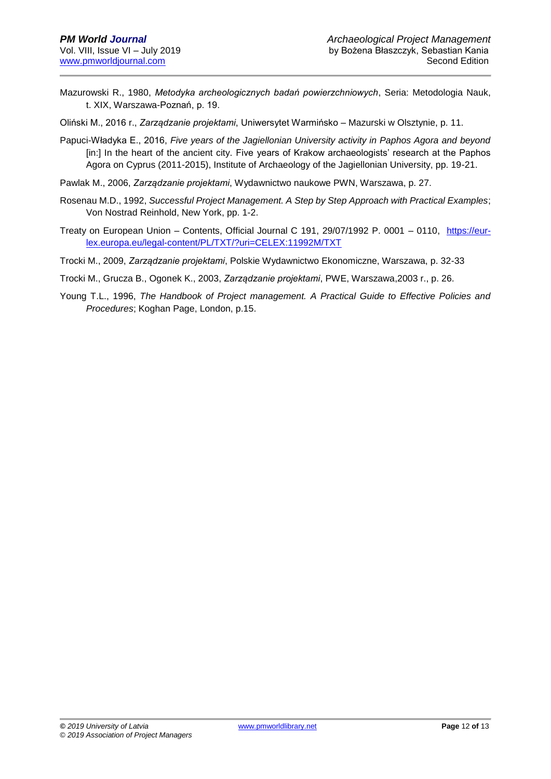Mazurowski R., 1980, *Metodyka archeologicznych badań powierzchniowych*, Seria: Metodologia Nauk, t. XIX, Warszawa-Poznań, p. 19.

Oliński M., 2016 r., *Zarządzanie projektami*, Uniwersytet Warmińsko – Mazurski w Olsztynie, p. 11.

- Papuci-Władyka E., 2016, *Five years of the Jagiellonian University activity in Paphos Agora and beyond* [in:] In the heart of the ancient city. Five years of Krakow archaeologists' research at the Paphos Agora on Cyprus (2011-2015), Institute of Archaeology of the Jagiellonian University, pp. 19-21.
- Pawlak M., 2006, *Zarządzanie projektami*, Wydawnictwo naukowe PWN, Warszawa, p. 27.
- Rosenau M.D., 1992, *Successful Project Management. A Step by Step Approach with Practical Examples*; Von Nostrad Reinhold, New York, pp. 1-2.
- Treaty on European Union Contents, Official Journal C 191, 29/07/1992 P. 0001 0110, [https://eur](https://eur-lex.europa.eu/legal-content/PL/TXT/?uri=CELEX:11992M/TXT)[lex.europa.eu/legal-content/PL/TXT/?uri=CELEX:11992M/TXT](https://eur-lex.europa.eu/legal-content/PL/TXT/?uri=CELEX:11992M/TXT)
- Trocki M., 2009, *Zarządzanie projektami*, Polskie Wydawnictwo Ekonomiczne, Warszawa, p. 32-33
- Trocki M., Grucza B., Ogonek K., 2003, *Zarządzanie projektami*, PWE, Warszawa,2003 r., p. 26.
- Young T.L., 1996, *The Handbook of Project management. A Practical Guide to Effective Policies and Procedures*; Koghan Page, London, p.15.